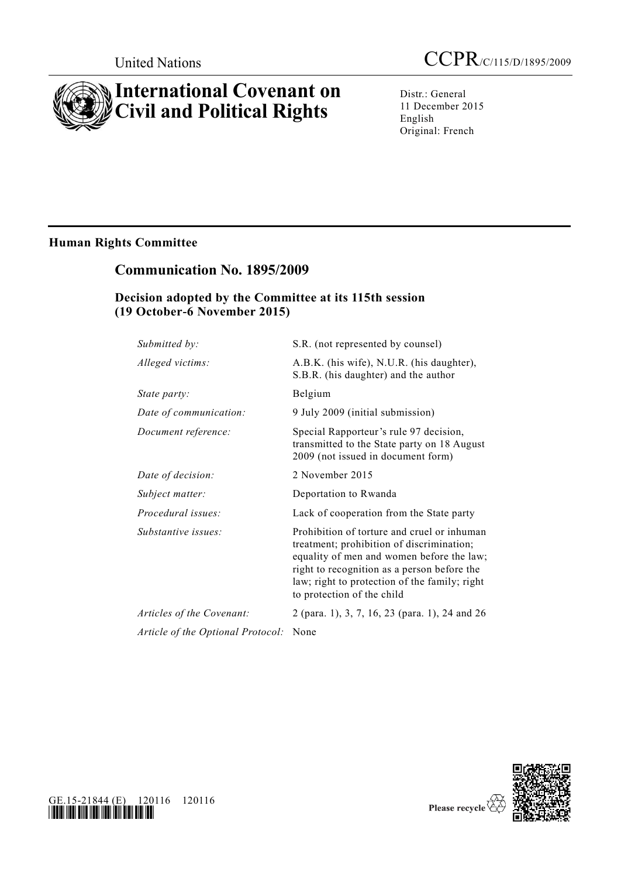# **International Covenant on Civil and Political Rights**

Distr.: General 11 December 2015 English Original: French

# **Human Rights Committee**

# **Communication No. 1895/2009**

# **Decision adopted by the Committee at its 115th session (19 October-6 November 2015)**

| Submitted by:                     | S.R. (not represented by counsel)                                                                                                                                                                                                                                   |
|-----------------------------------|---------------------------------------------------------------------------------------------------------------------------------------------------------------------------------------------------------------------------------------------------------------------|
| Alleged victims:                  | A.B.K. (his wife), N.U.R. (his daughter),<br>S.B.R. (his daughter) and the author                                                                                                                                                                                   |
| State party:                      | Belgium                                                                                                                                                                                                                                                             |
| Date of communication:            | 9 July 2009 (initial submission)                                                                                                                                                                                                                                    |
| Document reference:               | Special Rapporteur's rule 97 decision,<br>transmitted to the State party on 18 August<br>2009 (not issued in document form)                                                                                                                                         |
| Date of decision:                 | 2 November 2015                                                                                                                                                                                                                                                     |
| Subject matter:                   | Deportation to Rwanda                                                                                                                                                                                                                                               |
| Procedural issues:                | Lack of cooperation from the State party                                                                                                                                                                                                                            |
| Substantive issues:               | Prohibition of torture and cruel or inhuman<br>treatment; prohibition of discrimination;<br>equality of men and women before the law;<br>right to recognition as a person before the<br>law; right to protection of the family; right<br>to protection of the child |
| Articles of the Covenant:         | 2 (para. 1), 3, 7, 16, 23 (para. 1), 24 and 26                                                                                                                                                                                                                      |
| Article of the Optional Protocol: | None                                                                                                                                                                                                                                                                |



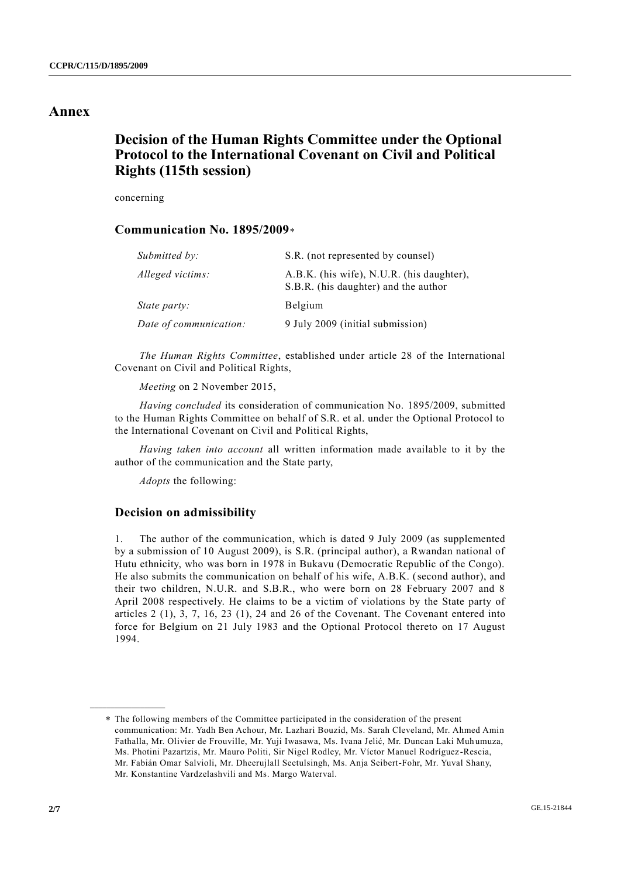# **Annex**

# **Decision of the Human Rights Committee under the Optional Protocol to the International Covenant on Civil and Political Rights (115th session)**

concerning

# **Communication No. 1895/2009**

| Submitted by:          | S.R. (not represented by counsel)                                                 |
|------------------------|-----------------------------------------------------------------------------------|
| Alleged victims:       | A.B.K. (his wife), N.U.R. (his daughter),<br>S.B.R. (his daughter) and the author |
| <i>State party:</i>    | Belgium                                                                           |
| Date of communication: | 9 July 2009 (initial submission)                                                  |

*The Human Rights Committee*, established under article 28 of the International Covenant on Civil and Political Rights,

*Meeting* on 2 November 2015,

*Having concluded* its consideration of communication No. 1895/2009, submitted to the Human Rights Committee on behalf of S.R. et al. under the Optional Protocol to the International Covenant on Civil and Political Rights,

*Having taken into account* all written information made available to it by the author of the communication and the State party,

*Adopts* the following:

## **Decision on admissibility**

1. The author of the communication, which is dated 9 July 2009 (as supplemented by a submission of 10 August 2009), is S.R. (principal author), a Rwandan national of Hutu ethnicity, who was born in 1978 in Bukavu (Democratic Republic of the Congo). He also submits the communication on behalf of his wife, A.B.K. (second author), and their two children, N.U.R. and S.B.R., who were born on 28 February 2007 and 8 April 2008 respectively. He claims to be a victim of violations by the State party of articles 2 (1), 3, 7, 16, 23 (1), 24 and 26 of the Covenant. The Covenant entered into force for Belgium on 21 July 1983 and the Optional Protocol thereto on 17 August 1994.

The following members of the Committee participated in the consideration of the present communication: Mr. Yadh Ben Achour, Mr. Lazhari Bouzid, Ms. Sarah Cleveland, Mr. Ahmed Amin Fathalla, Mr. Olivier de Frouville, Mr. Yuji Iwasawa, Ms. Ivana Jelić, Mr. Duncan Laki Muh umuza, Ms. Photini Pazartzis, Mr. Mauro Politi, Sir Nigel Rodley, Mr. Víctor Manuel Rodríguez -Rescia, Mr. Fabián Omar Salvioli, Mr. Dheerujlall Seetulsingh, Ms. Anja Seibert-Fohr, Mr. Yuval Shany, Mr. Konstantine Vardzelashvili and Ms. Margo Waterval.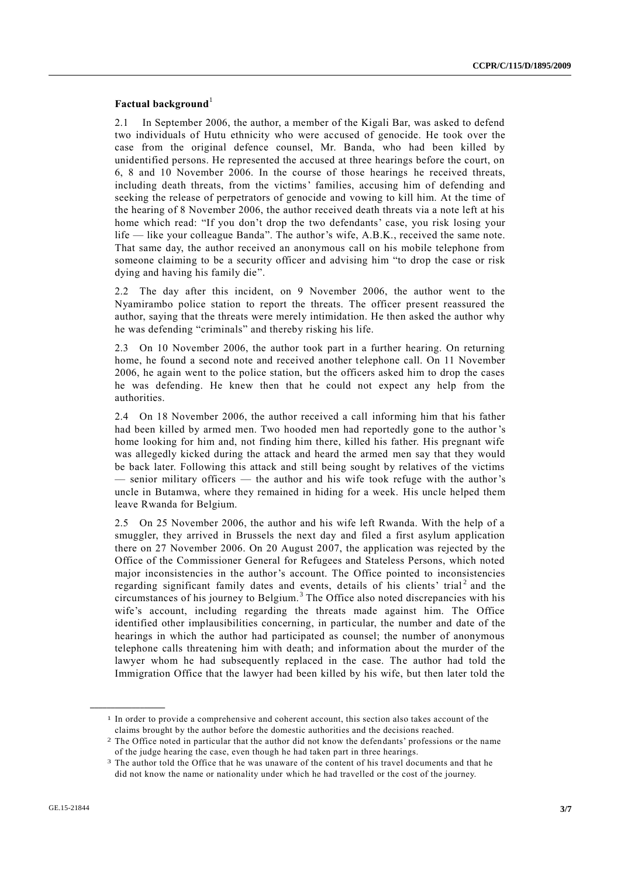## **Factual background**<sup>1</sup>

2.1 In September 2006, the author, a member of the Kigali Bar, was asked to defend two individuals of Hutu ethnicity who were accused of genocide. He took over the case from the original defence counsel, Mr. Banda, who had been killed by unidentified persons. He represented the accused at three hearings before the court, on 6, 8 and 10 November 2006. In the course of those hearings he received threats, including death threats, from the victims' families, accusing him of defending and seeking the release of perpetrators of genocide and vowing to kill him. At the time of the hearing of 8 November 2006, the author received death threats via a note left at his home which read: "If you don't drop the two defendants' case, you risk losing your life — like your colleague Banda". The author's wife, A.B.K., received the same note. That same day, the author received an anonymous call on his mobile telephone from someone claiming to be a security officer and advising him "to drop the case or risk dying and having his family die".

2.2 The day after this incident, on 9 November 2006, the author went to the Nyamirambo police station to report the threats. The officer present reassured the author, saying that the threats were merely intimidation. He then asked the author why he was defending "criminals" and thereby risking his life.

2.3 On 10 November 2006, the author took part in a further hearing. On returning home, he found a second note and received another telephone call. On 11 November 2006, he again went to the police station, but the officers asked him to drop the cases he was defending. He knew then that he could not expect any help from the authorities.

2.4 On 18 November 2006, the author received a call informing him that his father had been killed by armed men. Two hooded men had reportedly gone to the author 's home looking for him and, not finding him there, killed his father. His pregnant wife was allegedly kicked during the attack and heard the armed men say that they would be back later. Following this attack and still being sought by relatives of the victims — senior military officers — the author and his wife took refuge with the author's uncle in Butamwa, where they remained in hiding for a week. His uncle helped them leave Rwanda for Belgium.

2.5 On 25 November 2006, the author and his wife left Rwanda. With the help of a smuggler, they arrived in Brussels the next day and filed a first asylum application there on 27 November 2006. On 20 August 2007, the application was rejected by the Office of the Commissioner General for Refugees and Stateless Persons, which noted major inconsistencies in the author's account. The Office pointed to inconsistencies regarding significant family dates and events, details of his clients' trial<sup>2</sup> and the circumstances of his journey to Belgium. <sup>3</sup> The Office also noted discrepancies with his wife's account, including regarding the threats made against him. The Office identified other implausibilities concerning, in particular, the number and date of the hearings in which the author had participated as counsel; the number of anonymous telephone calls threatening him with death; and information about the murder of the lawyer whom he had subsequently replaced in the case. The author had told the Immigration Office that the lawyer had been killed by his wife, but then later told the

<sup>1</sup> In order to provide a comprehensive and coherent account, this section also takes account of the claims brought by the author before the domestic authorities and the decisions reached.

<sup>2</sup> The Office noted in particular that the author did not know the defendants' professions or the name of the judge hearing the case, even though he had taken part in three hearings.

<sup>&</sup>lt;sup>3</sup> The author told the Office that he was unaware of the content of his travel documents and that he did not know the name or nationality under which he had travelled or the cost of the journey.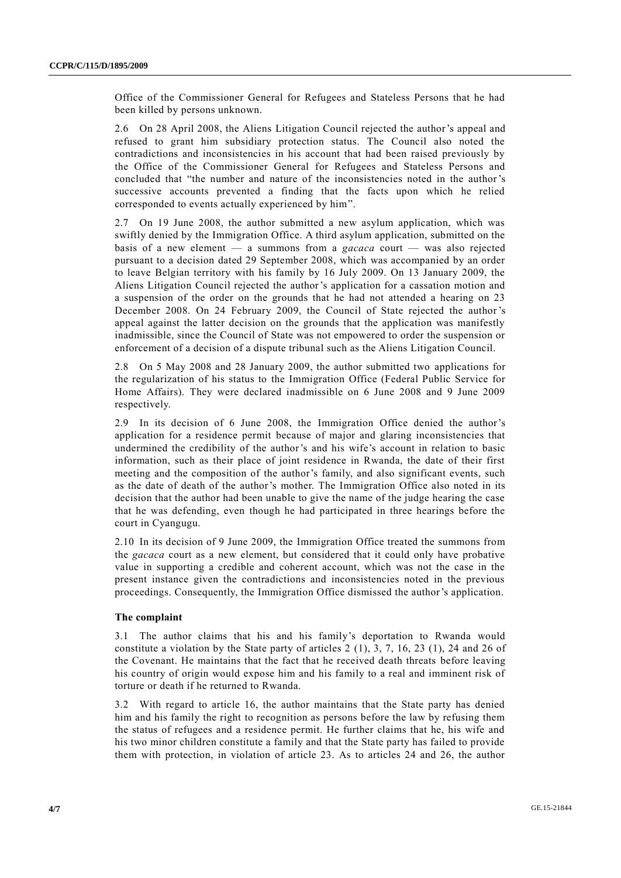Office of the Commissioner General for Refugees and Stateless Persons that he had been killed by persons unknown.

2.6 On 28 April 2008, the Aliens Litigation Council rejected the author's appeal and refused to grant him subsidiary protection status. The Council also noted the contradictions and inconsistencies in his account that had been raised previously by the Office of the Commissioner General for Refugees and Stateless Persons and concluded that "the number and nature of the inconsistencies noted in the author's successive accounts prevented a finding that the facts upon which he relied corresponded to events actually experienced by him".

2.7 On 19 June 2008, the author submitted a new asylum application, which was swiftly denied by the Immigration Office. A third asylum application, submitted on the basis of a new element — a summons from a *gacaca* court — was also rejected pursuant to a decision dated 29 September 2008, which was accompanied by an order to leave Belgian territory with his family by 16 July 2009. On 13 January 2009, the Aliens Litigation Council rejected the author's application for a cassation motion and a suspension of the order on the grounds that he had not attended a hearing on 23 December 2008. On 24 February 2009, the Council of State rejected the author 's appeal against the latter decision on the grounds that the application was manifestly inadmissible, since the Council of State was not empowered to order the suspension or enforcement of a decision of a dispute tribunal such as the Aliens Litigation Council.

2.8 On 5 May 2008 and 28 January 2009, the author submitted two applications for the regularization of his status to the Immigration Office (Federal Public Service for Home Affairs). They were declared inadmissible on 6 June 2008 and 9 June 2009 respectively.

2.9 In its decision of 6 June 2008, the Immigration Office denied the author's application for a residence permit because of major and glaring inconsistencies that undermined the credibility of the author's and his wife's account in relation to basic information, such as their place of joint residence in Rwanda, the date of their first meeting and the composition of the author's family, and also significant events, such as the date of death of the author's mother. The Immigration Office also noted in its decision that the author had been unable to give the name of the judge hearing the case that he was defending, even though he had participated in three hearings before the court in Cyangugu.

2.10 In its decision of 9 June 2009, the Immigration Office treated the summons from the *gacaca* court as a new element, but considered that it could only have probative value in supporting a credible and coherent account, which was not the case in the present instance given the contradictions and inconsistencies noted in the previous proceedings. Consequently, the Immigration Office dismissed the author's application.

#### **The complaint**

3.1 The author claims that his and his family's deportation to Rwanda would constitute a violation by the State party of articles 2 (1), 3, 7, 16, 23 (1), 24 and 26 of the Covenant. He maintains that the fact that he received death threats before leaving his country of origin would expose him and his family to a real and imminent risk of torture or death if he returned to Rwanda.

3.2 With regard to article 16, the author maintains that the State party has denied him and his family the right to recognition as persons before the law by refusing them the status of refugees and a residence permit. He further claims that he, his wife and his two minor children constitute a family and that the State party has failed to provide them with protection, in violation of article 23. As to articles 24 and 26, the author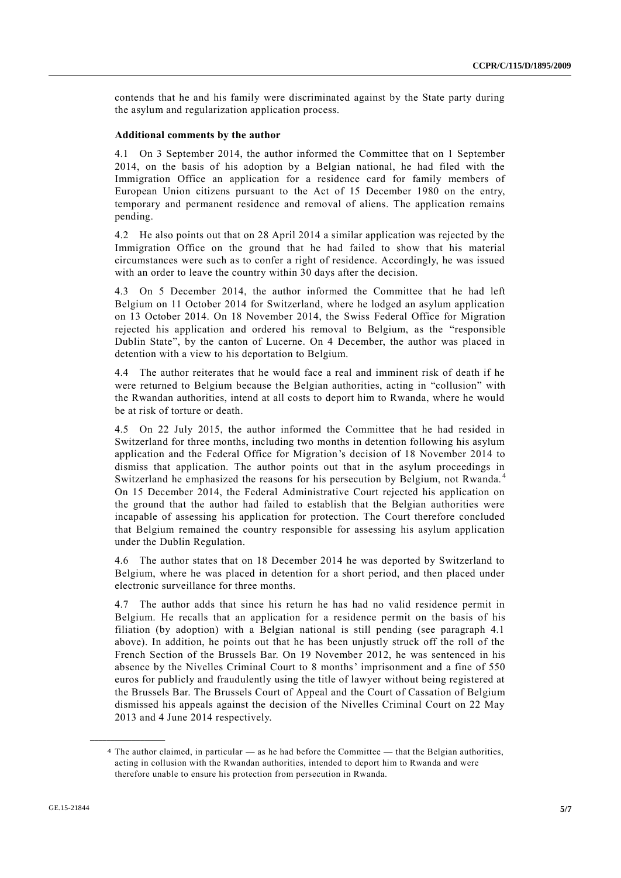contends that he and his family were discriminated against by the State party during the asylum and regularization application process.

#### **Additional comments by the author**

4.1 On 3 September 2014, the author informed the Committee that on 1 September 2014, on the basis of his adoption by a Belgian national, he had filed with the Immigration Office an application for a residence card for family members of European Union citizens pursuant to the Act of 15 December 1980 on the entry, temporary and permanent residence and removal of aliens. The application remains pending.

4.2 He also points out that on 28 April 2014 a similar application was rejected by the Immigration Office on the ground that he had failed to show that his material circumstances were such as to confer a right of residence. Accordingly, he was issued with an order to leave the country within 30 days after the decision.

4.3 On 5 December 2014, the author informed the Committee that he had left Belgium on 11 October 2014 for Switzerland, where he lodged an asylum application on 13 October 2014. On 18 November 2014, the Swiss Federal Office for Migration rejected his application and ordered his removal to Belgium, as the "responsible Dublin State", by the canton of Lucerne. On 4 December, the author was placed in detention with a view to his deportation to Belgium.

4.4 The author reiterates that he would face a real and imminent risk of death if he were returned to Belgium because the Belgian authorities, acting in "collusion" with the Rwandan authorities, intend at all costs to deport him to Rwanda, where he would be at risk of torture or death.

4.5 On 22 July 2015, the author informed the Committee that he had resided in Switzerland for three months, including two months in detention following his asylum application and the Federal Office for Migration's decision of 18 November 2014 to dismiss that application. The author points out that in the asylum proceedings in Switzerland he emphasized the reasons for his persecution by Belgium, not Rwanda. <sup>4</sup> On 15 December 2014, the Federal Administrative Court rejected his application on the ground that the author had failed to establish that the Belgian authorities were incapable of assessing his application for protection. The Court therefore concluded that Belgium remained the country responsible for assessing his asylum application under the Dublin Regulation.

4.6 The author states that on 18 December 2014 he was deported by Switzerland to Belgium, where he was placed in detention for a short period, and then placed under electronic surveillance for three months.

4.7 The author adds that since his return he has had no valid residence permit in Belgium. He recalls that an application for a residence permit on the basis of his filiation (by adoption) with a Belgian national is still pending (see paragraph 4.1 above). In addition, he points out that he has been unjustly struck off the roll of the French Section of the Brussels Bar. On 19 November 2012, he was sentenced in his absence by the Nivelles Criminal Court to 8 months' imprisonment and a fine of 550 euros for publicly and fraudulently using the title of lawyer without being registered at the Brussels Bar. The Brussels Court of Appeal and the Court of Cassation of Belgium dismissed his appeals against the decision of the Nivelles Criminal Court on 22 May 2013 and 4 June 2014 respectively.

<sup>4</sup> The author claimed, in particular — as he had before the Committee — that the Belgian authorities, acting in collusion with the Rwandan authorities, intended to deport him to Rwanda and were therefore unable to ensure his protection from persecution in Rwanda.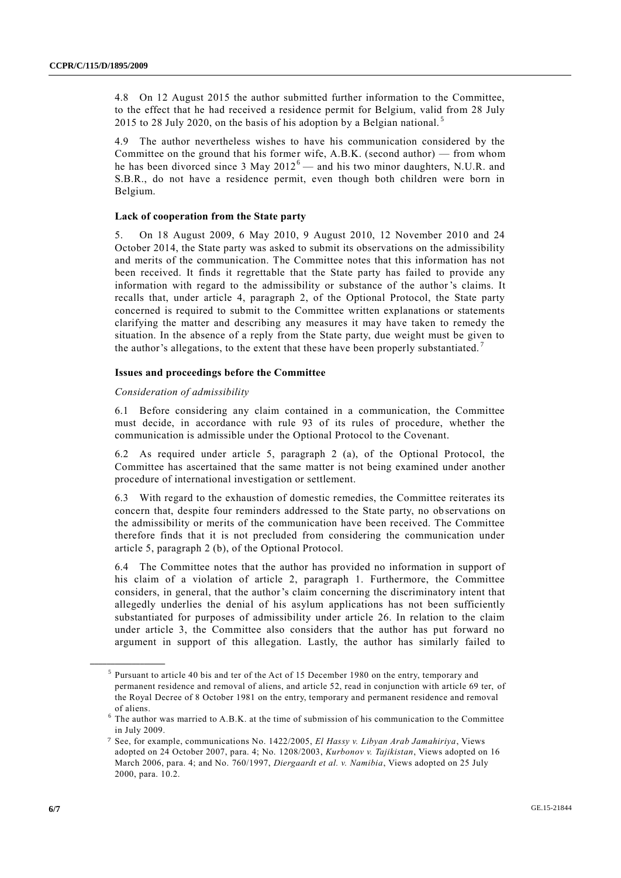4.8 On 12 August 2015 the author submitted further information to the Committee, to the effect that he had received a residence permit for Belgium, valid from 28 July 2015 to 28 July 2020, on the basis of his adoption by a Belgian national.<sup>5</sup>

4.9 The author nevertheless wishes to have his communication considered by the Committee on the ground that his former wife,  $A.B.K.$  (second author) — from whom he has been divorced since 3 May  $2012^6$  — and his two minor daughters, N.U.R. and S.B.R., do not have a residence permit, even though both children were born in Belgium.

## **Lack of cooperation from the State party**

5. On 18 August 2009, 6 May 2010, 9 August 2010, 12 November 2010 and 24 October 2014, the State party was asked to submit its observations on the admissibility and merits of the communication. The Committee notes that this information has not been received. It finds it regrettable that the State party has failed to provide any information with regard to the admissibility or substance of the author's claims. It recalls that, under article 4, paragraph 2, of the Optional Protocol, the State party concerned is required to submit to the Committee written explanations or statements clarifying the matter and describing any measures it may have taken to remedy the situation. In the absence of a reply from the State party, due weight must be given to the author's allegations, to the extent that these have been properly substantiated.<sup>7</sup>

## **Issues and proceedings before the Committee**

## *Consideration of admissibility*

6.1 Before considering any claim contained in a communication, the Committee must decide, in accordance with rule 93 of its rules of procedure, whether the communication is admissible under the Optional Protocol to the Covenant.

6.2 As required under article 5, paragraph 2 (a), of the Optional Protocol, the Committee has ascertained that the same matter is not being examined under another procedure of international investigation or settlement.

6.3 With regard to the exhaustion of domestic remedies, the Committee reiterates its concern that, despite four reminders addressed to the State party, no observations on the admissibility or merits of the communication have been received. The Committee therefore finds that it is not precluded from considering the communication under article 5, paragraph 2 (b), of the Optional Protocol.

6.4 The Committee notes that the author has provided no information in support of his claim of a violation of article 2, paragraph 1. Furthermore, the Committee considers, in general, that the author's claim concerning the discriminatory intent that allegedly underlies the denial of his asylum applications has not been sufficiently substantiated for purposes of admissibility under article 26. In relation to the claim under article 3, the Committee also considers that the author has put forward no argument in support of this allegation. Lastly, the author has similarly failed to

<sup>&</sup>lt;sup>5</sup> Pursuant to article 40 bis and ter of the Act of 15 December 1980 on the entry, temporary and permanent residence and removal of aliens, and article 52, read in conjunction with article 69 ter, of the Royal Decree of 8 October 1981 on the entry, temporary and permanent residence and removal of aliens.

<sup>6</sup> The author was married to A.B.K. at the time of submission of his communication to the Committee in July 2009.

<sup>7</sup> See, for example, communications No. 1422/2005, *El Hassy v. Libyan Arab Jamahiriya*, Views adopted on 24 October 2007, para. 4; No. 1208/2003, *Kurbonov v. Tajikistan*, Views adopted on 16 March 2006, para. 4; and No. 760/1997, *Diergaardt et al. v. Namibia*, Views adopted on 25 July 2000, para. 10.2.